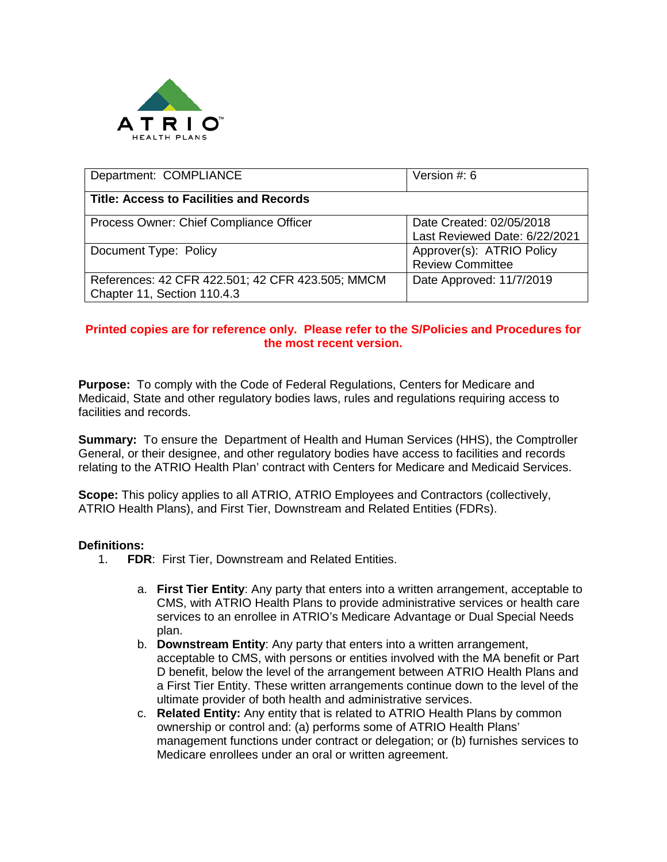

| Department: COMPLIANCE                                                          | Version #: 6                                              |
|---------------------------------------------------------------------------------|-----------------------------------------------------------|
| <b>Title: Access to Facilities and Records</b>                                  |                                                           |
| Process Owner: Chief Compliance Officer                                         | Date Created: 02/05/2018<br>Last Reviewed Date: 6/22/2021 |
| Document Type: Policy                                                           | Approver(s): ATRIO Policy<br><b>Review Committee</b>      |
| References: 42 CFR 422.501; 42 CFR 423.505; MMCM<br>Chapter 11, Section 110.4.3 | Date Approved: 11/7/2019                                  |

## **Printed copies are for reference only. Please refer to the S/Policies and Procedures for the most recent version.**

**Purpose:** To comply with the Code of Federal Regulations, Centers for Medicare and Medicaid, State and other regulatory bodies laws, rules and regulations requiring access to facilities and records.

**Summary:** To ensure the Department of Health and Human Services (HHS), the Comptroller General, or their designee, and other regulatory bodies have access to facilities and records relating to the ATRIO Health Plan' contract with Centers for Medicare and Medicaid Services.

**Scope:** This policy applies to all ATRIO, ATRIO Employees and Contractors (collectively, ATRIO Health Plans), and First Tier, Downstream and Related Entities (FDRs).

## **Definitions:**

- 1. **FDR**: First Tier, Downstream and Related Entities.
	- a. **First Tier Entity**: Any party that enters into a written arrangement, acceptable to CMS, with ATRIO Health Plans to provide administrative services or health care services to an enrollee in ATRIO's Medicare Advantage or Dual Special Needs plan.
	- b. **Downstream Entity**: Any party that enters into a written arrangement, acceptable to CMS, with persons or entities involved with the MA benefit or Part D benefit, below the level of the arrangement between ATRIO Health Plans and a First Tier Entity. These written arrangements continue down to the level of the ultimate provider of both health and administrative services.
	- c. **Related Entity:** Any entity that is related to ATRIO Health Plans by common ownership or control and: (a) performs some of ATRIO Health Plans' management functions under contract or delegation; or (b) furnishes services to Medicare enrollees under an oral or written agreement.